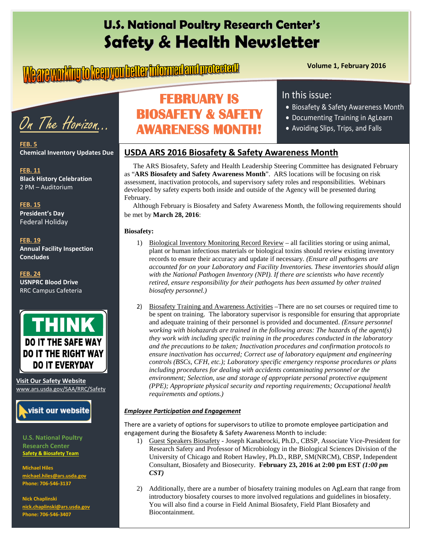# **U.S. National Poultry Research Center's Safety & Health Newsletter**

# **Volume 1, February 2016**

On The Horizon…

**FEB. 5 Chemical Inventory Updates Due**

**FEB. 11 Black History Celebration** 2 PM – Auditorium

**FEB. 15 President's Day** Federal Holiday

#### **FEB. 19 Annual Facility Inspection Concludes**

**FEB. 24 USNPRC Blood Drive** RRC Campus Cafeteria



**Visit Our Safety Website**  [www.ars.usda.gov/SAA/RRC/Safety](http://www.ars.usda.gov/SAA/RRC/Safety)



**U.S. National Poultry Research Center Safety & Biosafety Team**

**Michael Hiles**  michael.hiles@ **Phone: 706-546-3137**

**Nick Chaplinski [nick.chaplinski@ars.usda.gov](mailto:nick.chaplinski@ars.usda.gov) Phone: 706-546-3407**

# **FEBRUARY IS BIOSAFETY & SAFETY AWARENESS MONTH!**

### In this issue:

- Biosafety & Safety Awareness Month
- Documenting Training in AgLearn
- Avoiding Slips, Trips, and Falls

## **USDA ARS 2016 Biosafety & Safety Awareness Month**

 The ARS Biosafety, Safety and Health Leadership Steering Committee has designated February as "**ARS Biosafety and Safety Awareness Month**". ARS locations will be focusing on risk assessment, inactivation protocols, and supervisory safety roles and responsibilities. Webinars developed by safety experts both inside and outside of the Agency will be presented during February.

 Although February is Biosafety and Safety Awareness Month, the following requirements should be met by **March 28, 2016**:

### **Biosafety:**

- 1) Biological Inventory Monitoring Record Review all facilities storing or using animal, plant or human infectious materials or biological toxins should review existing inventory records to ensure their accuracy and update if necessary*. (Ensure all pathogens are accounted for on your Laboratory and Facility Inventories. These inventories should align with the National Pathogen Inventory (NPI). If there are scientists who have recently retired, ensure responsibility for their pathogens has been assumed by other trained biosafety personnel.)*
- 2) Biosafety Training and Awareness Activities There are no set courses or required time to be spent on training. The laboratory supervisor is responsible for ensuring that appropriate and adequate training of their personnel is provided and documented. *(Ensure personnel working with biohazards are trained in the following areas: The hazards of the agent(s) they work with including specific training in the procedures conducted in the laboratory and the precautions to be taken; Inactivation procedures and confirmation protocols to ensure inactivation has occurred; Correct use of laboratory equipment and engineering controls (BSCs, CFH, etc.); Laboratory specific emergency response procedures or plans including procedures for dealing with accidents contaminating personnel or the environment; Selection, use and storage of appropriate personal protective equipment (PPE); Appropriate physical security and reporting requirements; Occupational health requirements and options.)*

### *Employee Participation and Engagement*

There are a variety of options for supervisors to utilize to promote employee participation and engagement during the Biosafety & Safety Awareness Month to include:

1) Guest Speakers Biosafety - Joseph Kanabrocki, Ph.D., CBSP, Associate Vice-President for Research Safety and Professor of Microbiology in the Biological Sciences Division of the University of Chicago and Robert Hawley, Ph.D., RBP, SM(NRCM), CBSP, Independent Consultant, Biosafety and Biosecurity. **February 23, 2016 at 2:00 pm EST** *(1:00 pm CST)*

2) Additionally, there are a number of biosafety training modules on AgLearn that range from introductory biosafety courses to more involved regulations and guidelines in biosafety. You will also find a course in Field Animal Biosafety, Field Plant Biosafety and Biocontainment.